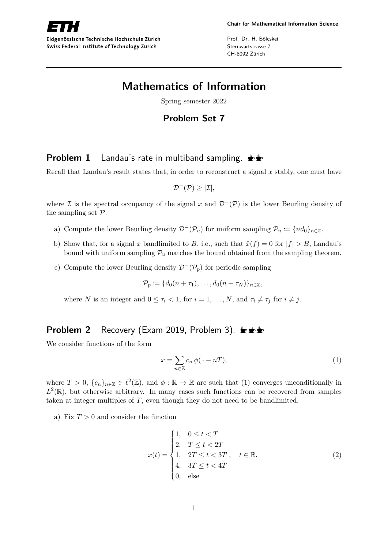

Eidgenössische Technische Hochschule Zürich Swiss Federal Institute of Technology Zurich

Prof. Dr. H. Bölcskei Sternwartstrasse 7 CH-8092 Zürich

## **Mathematics of Information**

Spring semester 2022

## **Problem Set 7**

## **Problem 1** Landau's rate in multiband sampling.  $\mathbf{L}$

Recall that Landau's result states that, in order to reconstruct a signal *x* stably, one must have

$$
\mathcal{D}^{-}(\mathcal{P})\geq |\mathcal{I}|,
$$

where I is the spectral occupancy of the signal x and  $\mathcal{D}^{-}(\mathcal{P})$  is the lower Beurling density of the sampling set P.

- a) Compute the lower Beurling density  $\mathcal{D}^-(\mathcal{P}_u)$  for uniform sampling  $\mathcal{P}_u := \{nd_0\}_{n\in\mathbb{Z}}$ .
- b) Show that, for a signal *x* bandlimited to *B*, i.e., such that  $\hat{x}(f) = 0$  for  $|f| > B$ , Landau's bound with uniform sampling  $\mathcal{P}_u$  matches the bound obtained from the sampling theorem.
- c) Compute the lower Beurling density  $\mathcal{D}^-(\mathcal{P}_p)$  for periodic sampling

$$
\mathcal{P}_p \coloneqq \{d_0(n+\tau_1),\ldots,d_0(n+\tau_N)\}_{n\in\mathbb{Z}},
$$

where *N* is an integer and  $0 \leq \tau_i < 1$ , for  $i = 1, ..., N$ , and  $\tau_i \neq \tau_j$  for  $i \neq j$ .

## **Problem 2** Recovery (Exam 2019, Problem 3).  $\mathbf{L} \mathbf{L}$

We consider functions of the form

$$
x = \sum_{n \in \mathbb{Z}} c_n \, \phi(\cdot - n) \tag{1}
$$

where  $T > 0$ ,  $\{c_n\}_{n \in \mathbb{Z}} \in \ell^2(\mathbb{Z})$ , and  $\phi : \mathbb{R} \to \mathbb{R}$  are such that (1) converges unconditionally in  $L^2(\mathbb{R})$ , but otherwise arbitrary. In many cases such functions can be recovered from samples taken at integer multiples of *T*, even though they do not need to be bandlimited.

a) Fix  $T > 0$  and consider the function

$$
x(t) = \begin{cases} 1, & 0 \le t < T \\ 2, & T \le t < 2T \\ 1, & 2T \le t < 3T \\ 4, & 3T \le t < 4T \\ 0, & \text{else} \end{cases} \quad t \in \mathbb{R}.
$$
 (2)